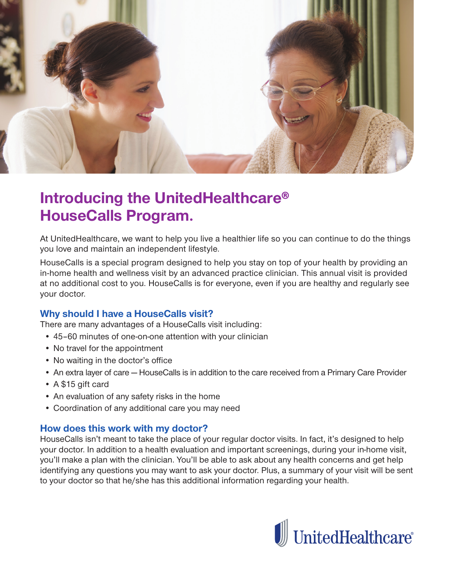

## **Introducing the UnitedHealthcare® HouseCalls Program.**

At UnitedHealthcare, we want to help you live a healthier life so you can continue to do the things you love and maintain an independent lifestyle.

HouseCalls is a special program designed to help you stay on top of your health by providing an in-home health and wellness visit by an advanced practice clinician. This annual visit is provided at no additional cost to you. HouseCalls is for everyone, even if you are healthy and regularly see your doctor.

## **Why should I have a HouseCalls visit?**

There are many advantages of a HouseCalls visit including:

- 45-60 minutes of one-on-one attention with your clinician
- No travel for the appointment
- No waiting in the doctor's office
- An extra layer of care HouseCalls is in addition to the care received from a Primary Care Provider
- A \$15 gift card
- An evaluation of any safety risks in the home
- Coordination of any additional care you may need

## How does this work with my doctor?

HouseCalls isn't meant to take the place of your regular doctor visits. In fact, it's designed to help your doctor. In addition to a health evaluation and important screenings, during your in-home visit, you'll make a plan with the clinician. You'll be able to ask about any health concerns and get help identifying any questions you may want to ask your doctor. Plus, a summary of your visit will be sent to your doctor so that he/she has this additional information regarding your health.